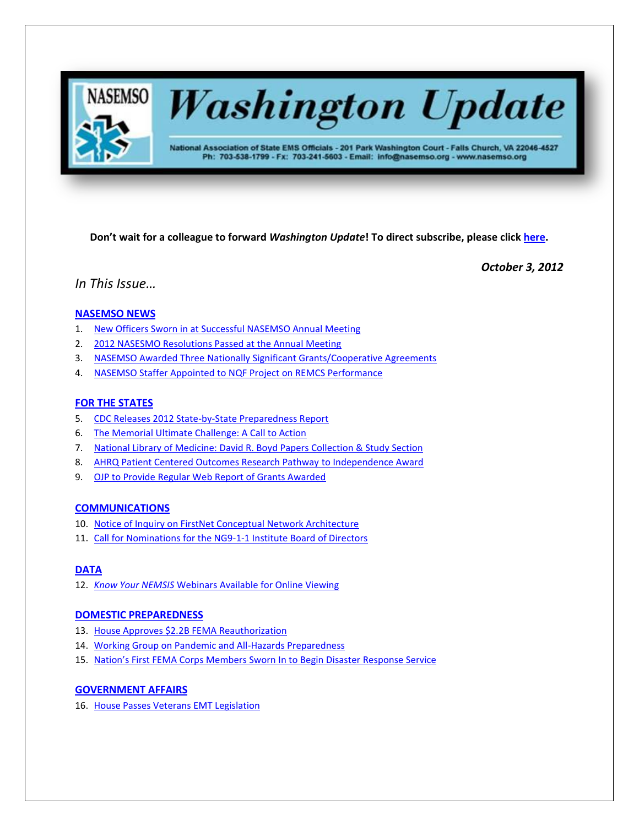

# **Washington Update**

National Association of State EMS Officials - 201 Park Washington Court - Falls Church, VA 22046-4527 Ph: 703-538-1799 - Fx: 703-241-5603 - Email: info@nasemso.org - www.nasemso.org

**Don't wait for a colleague to forward** *Washington Update***! To direct subscribe, please click [here.](http://lists.nasemso.org/read/all_forums/subscribe?name=wu%20)**

*October 3, 2012*

# *In This Issue…*

## **[NASEMSO NEWS](#page-1-0)**

- 1. [New Officers Sworn in at Successful NASEMSO Annual Meeting](#page-1-0)
- 2. [2012 NASESMO Resolutions Passed at the Annual Meeting](#page-1-1)
- 3. [NASEMSO Awarded Three Nationally Significant Grants/Cooperative Agreements](#page-2-0)
- 4. [NASEMSO Staffer Appointed to NQF Project on REMCS Performance](#page-2-1)

## **[FOR THE STATES](#page-3-0)**

- 5. [CDC Releases 2012 State-by-State Preparedness Report](#page-3-1)
- 6. [The Memorial Ultimate Challenge: A Call to Action](#page-3-2)
- 7. [National Library of Medicine: David R. Boyd Papers Collection & Study Section](#page-3-3)
- 8. [AHRQ Patient Centered Outcomes Research Pathway to Independence Award](#page-3-4)
- 9. [OJP to Provide Regular Web Report of Grants Awarded](#page-4-0)

## **[COMMUNICATIONS](#page-4-1)**

- 10. [Notice of Inquiry on FirstNet Conceptual Network Architecture](#page-4-2)
- 11. [Call for Nominations for the NG9-1-1 Institute Board of Directors](#page-4-3)

## **[DATA](#page-4-4)**

12. *Know Your NEMSIS* [Webinars Available for Online Viewing](#page-4-5)

## **[DOMESTIC PREPAREDNESS](#page-5-0)**

- 13. [House Approves \\$2.2B FEMA Reauthorization](#page-5-1)
- 14. [Working Group on Pandemic and All-Hazards Preparedness](#page-5-2)
- 15. [Nation's First FEMA Corps Members Sworn In to Begin Disaster](#page-5-3) Response Service

## **[GOVERNMENT AFFAIRS](#page-5-4)**

16. [House Passes Veterans EMT Legislation](#page-5-5)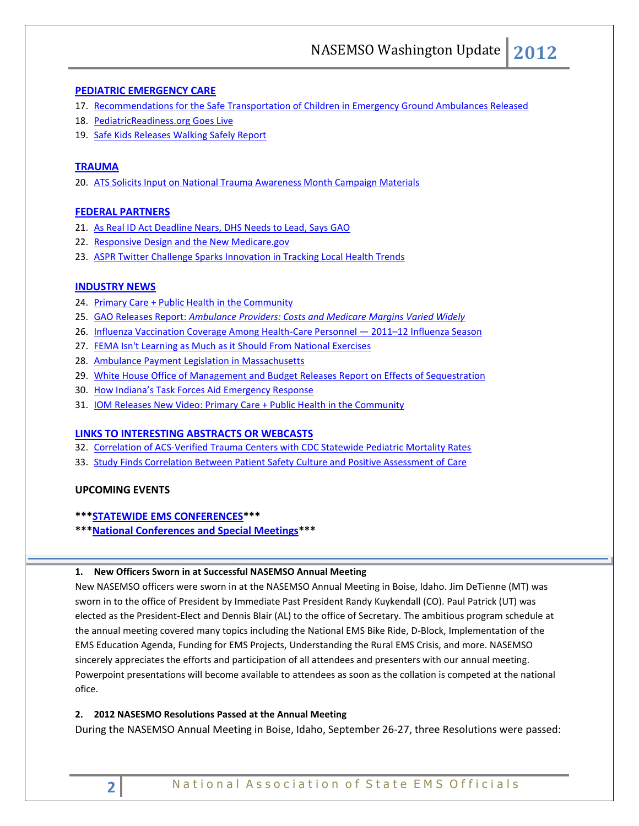## **[PEDIATRIC EMERGENCY CARE](#page-5-6)**

- 17. [Recommendations for the Safe Transportation of Children in Emergency Ground Ambulances Released](#page-5-7)
- 18. [PediatricReadiness.org Goes Live](#page-6-0)
- 19. [Safe Kids Releases Walking Safely Report](#page-6-1)

## **[TRAUMA](#page-6-2)**

20. [ATS Solicits Input on National Trauma Awareness Month Campaign Materials](#page-6-3)

## **[FEDERAL PARTNERS](#page-6-4)**

- 21. [As Real ID Act Deadline Nears, DHS Needs to Lead, Says GAO](#page-6-5)
- 22. [Responsive Design and the New Medicare.gov](#page-7-0)
- 23. [ASPR Twitter Challenge Sparks Innovation in Tracking Local Health Trends](#page-7-1)

## **[INDUSTRY NEWS](#page-7-2)**

- 24. [Primary Care + Public Health in the Community](#page-7-3)
- 25. GAO Releases Report: *[Ambulance Providers: Costs and Medicare Margins Varied Widely](#page-7-4)*
- 26. [Influenza Vaccination Coverage Among Health-Care Personnel](#page-7-5)  2011–12 Influenza Season
- 27. [FEMA Isn't Learning as Much as it Should From National Exercises](#page-7-6)
- 28. [Ambulance Payment Legislation in Massachusetts](#page-8-0)
- 29. [White House Office of Management and Budget Releases Report on Effects of Sequestration](#page-8-1)
- 30. [How Indiana's Task Forces Aid Emergency Response](#page-8-2)
- 31. [IOM Releases New Video: Primary Care + Public Health in the Community](#page-8-3)

## **[LINKS TO INTERESTING ABSTRACTS OR WEBCASTS](#page-8-4)**

- 32. [Correlation of ACS-Verified Trauma Centers with CDC Statewide Pediatric Mortality Rates](#page-8-5)
- 33. [Study Finds Correlation Between Patient Safety Culture and Positive Assessment of Care](#page-8-6)

## **UPCOMING EVENTS**

## **\*\*[\\*STATEWIDE EMS CONFERENCES\\*](#page-9-0)\*\***

**\*\*[\\*National Conferences and Special Meetings\\*](#page-9-1)\*\***

#### <span id="page-1-0"></span>**1. New Officers Sworn in at Successful NASEMSO Annual Meeting**

New NASEMSO officers were sworn in at the NASEMSO Annual Meeting in Boise, Idaho. Jim DeTienne (MT) was sworn in to the office of President by Immediate Past President Randy Kuykendall (CO). Paul Patrick (UT) was elected as the President-Elect and Dennis Blair (AL) to the office of Secretary. The ambitious program schedule at the annual meeting covered many topics including the National EMS Bike Ride, D-Block, Implementation of the EMS Education Agenda, Funding for EMS Projects, Understanding the Rural EMS Crisis, and more. NASEMSO sincerely appreciates the efforts and participation of all attendees and presenters with our annual meeting. Powerpoint presentations will become available to attendees as soon as the collation is competed at the national ofice.

## <span id="page-1-1"></span>**2. 2012 NASESMO Resolutions Passed at the Annual Meeting**

During the NASEMSO Annual Meeting in Boise, Idaho, September 26-27, three Resolutions were passed: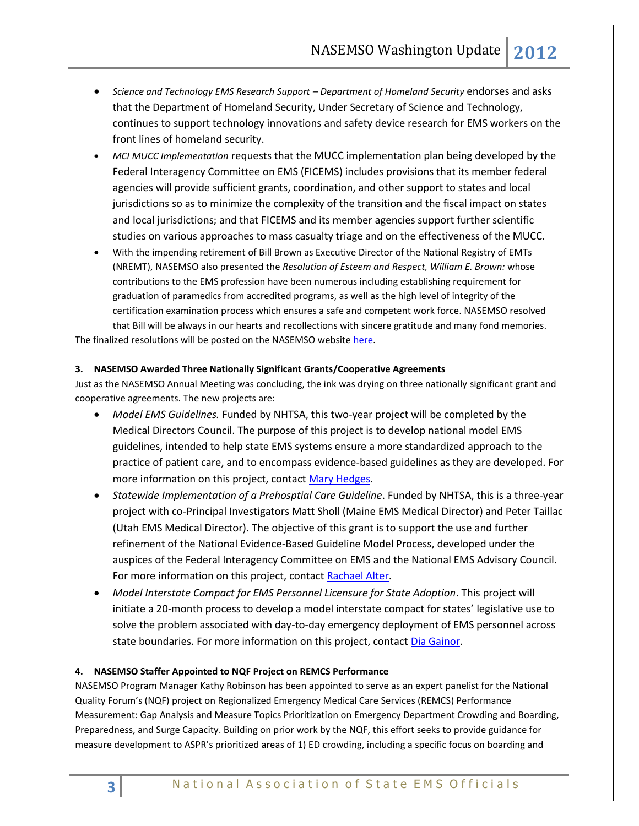- *Science and Technology EMS Research Support – Department of Homeland Security* endorses and asks that the Department of Homeland Security, Under Secretary of Science and Technology, continues to support technology innovations and safety device research for EMS workers on the front lines of homeland security.
- *MCI MUCC Implementation* requests that the MUCC implementation plan being developed by the Federal Interagency Committee on EMS (FICEMS) includes provisions that its member federal agencies will provide sufficient grants, coordination, and other support to states and local jurisdictions so as to minimize the complexity of the transition and the fiscal impact on states and local jurisdictions; and that FICEMS and its member agencies support further scientific studies on various approaches to mass casualty triage and on the effectiveness of the MUCC.
- With the impending retirement of Bill Brown as Executive Director of the National Registry of EMTs (NREMT), NASEMSO also presented the *Resolution of Esteem and Respect, William E. Brown:* whose contributions to the EMS profession have been numerous including establishing requirement for graduation of paramedics from accredited programs, as well as the high level of integrity of the certification examination process which ensures a safe and competent work force. NASEMSO resolved that Bill will be always in our hearts and recollections with sincere gratitude and many fond memories.

The finalized resolutions will be posted on the NASEMSO website [here.](http://www.nasemso.org/Advocacy/PositionsResolutions/Resolutions.asp)

## <span id="page-2-0"></span>**3. NASEMSO Awarded Three Nationally Significant Grants/Cooperative Agreements**

Just as the NASEMSO Annual Meeting was concluding, the ink was drying on three nationally significant grant and cooperative agreements. The new projects are:

- *Model EMS Guidelines.* Funded by NHTSA, this two-year project will be completed by the Medical Directors Council. The purpose of this project is to develop national model EMS guidelines, intended to help state EMS systems ensure a more standardized approach to the practice of patient care, and to encompass evidence-based guidelines as they are developed. For more information on this project, contact [Mary Hedges.](mailto:hedges@nasemso.org)
- *Statewide Implementation of a Prehosptial Care Guideline*. Funded by NHTSA, this is a three-year project with co-Principal Investigators Matt Sholl (Maine EMS Medical Director) and Peter Taillac (Utah EMS Medical Director). The objective of this grant is to support the use and further refinement of the National Evidence-Based Guideline Model Process, developed under the auspices of the Federal Interagency Committee on EMS and the National EMS Advisory Council. For more information on this project, contact [Rachael Alter.](mailto:alter@nasemso.org)
- *Model Interstate Compact for EMS Personnel Licensure for State Adoption*. This project will initiate a 20-month process to develop a model interstate compact for states' legislative use to solve the problem associated with day-to-day emergency deployment of EMS personnel across state boundaries. For more information on this project, contac[t Dia Gainor.](mailto:dia@nasemso.org)

## <span id="page-2-1"></span>**4. NASEMSO Staffer Appointed to NQF Project on REMCS Performance**

NASEMSO Program Manager Kathy Robinson has been appointed to serve as an expert panelist for the National Quality Forum's (NQF) project on Regionalized Emergency Medical Care Services (REMCS) Performance Measurement: Gap Analysis and Measure Topics Prioritization on Emergency Department Crowding and Boarding, Preparedness, and Surge Capacity. Building on prior work by the NQF, this effort seeks to provide guidance for measure development to ASPR's prioritized areas of 1) ED crowding, including a specific focus on boarding and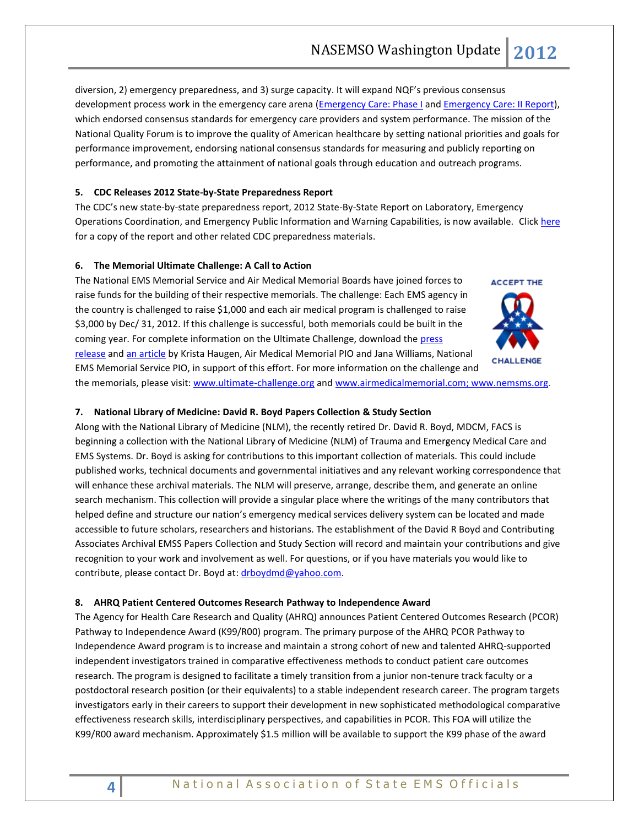diversion, 2) emergency preparedness, and 3) surge capacity. It will expand NQF's previous consensus development process work in the emergency care arena [\(Emergency Care: Phase I](http://www.qualityforum.org/Projects/n-r/Regionalized_Emergency_Care/Regionalized_Emergency_Care__Phase_1.aspx) and [Emergency Care: II Report\)](http://www.qualityforum.org/Projects/e-g/Emergency_Care/Emergency_Care__Phase_II.aspx), which endorsed consensus standards for emergency care providers and system performance. The mission of the National Quality Forum is to improve the quality of American healthcare by setting national priorities and goals for performance improvement, endorsing national consensus standards for measuring and publicly reporting on performance, and promoting the attainment of national goals through education and outreach programs.

## <span id="page-3-1"></span><span id="page-3-0"></span>**5. CDC Releases 2012 State-by-State Preparedness Report**

The CDC's new state-by-state preparedness report, 2012 State-By-State Report on Laboratory, Emergency Operations Coordination, and Emergency Public Information and Warning Capabilities, is now available. Clic[k here](http://www.cdc.gov/phpr/reportingonreadiness.htm) for a copy of the report and other related CDC preparedness materials.

## <span id="page-3-2"></span>**6. The Memorial Ultimate Challenge: A Call to Action**

The National EMS Memorial Service and Air Medical Memorial Boards have joined forces to raise funds for the building of their respective memorials. The challenge: Each EMS agency in the country is challenged to raise \$1,000 and each air medical program is challenged to raise \$3,000 by Dec/ 31, 2012. If this challenge is successful, both memorials could be built in the coming year. For complete information on the Ultimate Challenge, download the press [release](http://www.nasemso.org/documents/UCPressRelease2.pdf) and [an article](http://www.nasemso.org/documents/TheUltimateChallenge-final.pdf) by Krista Haugen, Air Medical Memorial PIO and Jana Williams, National

**ACCEPT THE** 

EMS Memorial Service PIO, in support of this effort. For more information on the challenge and

# the memorials, please visit[: www.ultimate-challenge.org](http://www.ultimate-challenge.org/) and [www.airmedicalmemorial.com;](http://www.airmedicalmemorial.com/) [www.nemsms.org.](http://www.nemsms.org/)

## <span id="page-3-3"></span>**7. National Library of Medicine: David R. Boyd Papers Collection & Study Section**

Along with the National Library of Medicine (NLM), the recently retired Dr. David R. Boyd, MDCM, FACS is beginning a collection with the National Library of Medicine (NLM) of Trauma and Emergency Medical Care and EMS Systems. Dr. Boyd is asking for contributions to this important collection of materials. This could include published works, technical documents and governmental initiatives and any relevant working correspondence that will enhance these archival materials. The NLM will preserve, arrange, describe them, and generate an online search mechanism. This collection will provide a singular place where the writings of the many contributors that helped define and structure our nation's emergency medical services delivery system can be located and made accessible to future scholars, researchers and historians. The establishment of the David R Boyd and Contributing Associates Archival EMSS Papers Collection and Study Section will record and maintain your contributions and give recognition to your work and involvement as well. For questions, or if you have materials you would like to contribute, please contact Dr. Boyd at: [drboydmd@yahoo.com.](mailto:drboydmd@yahoo.com)

## <span id="page-3-4"></span>**8. AHRQ Patient Centered Outcomes Research Pathway to Independence Award**

The Agency for Health Care Research and Quality (AHRQ) announces Patient Centered Outcomes Research (PCOR) Pathway to Independence Award (K99/R00) program. The primary purpose of the AHRQ PCOR Pathway to Independence Award program is to increase and maintain a strong cohort of new and talented AHRQ-supported independent investigators trained in comparative effectiveness methods to conduct patient care outcomes research. The program is designed to facilitate a timely transition from a junior non-tenure track faculty or a postdoctoral research position (or their equivalents) to a stable independent research career. The program targets investigators early in their careers to support their development in new sophisticated methodological comparative effectiveness research skills, interdisciplinary perspectives, and capabilities in PCOR. This FOA will utilize the K99/R00 award mechanism. Approximately \$1.5 million will be available to support the K99 phase of the award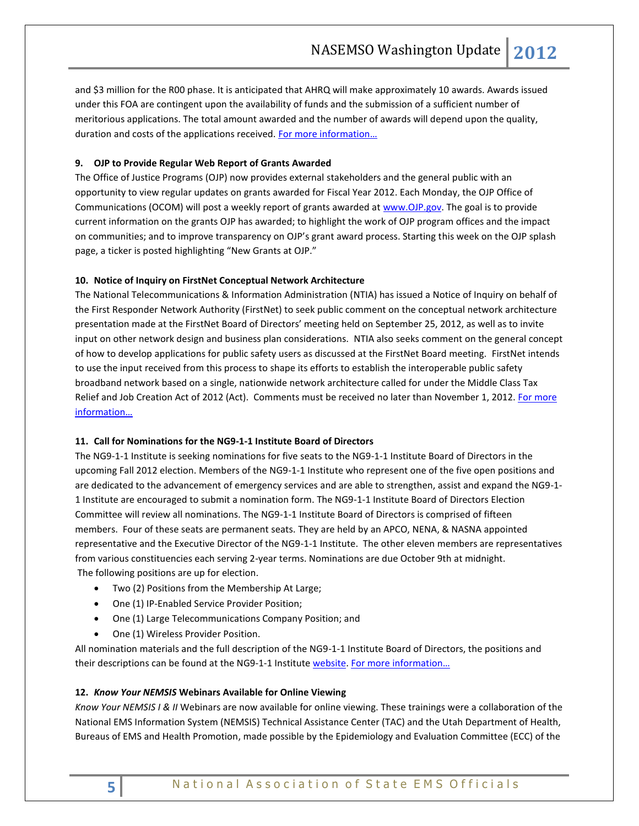and \$3 million for the R00 phase. It is anticipated that AHRQ will make approximately 10 awards. Awards issued under this FOA are contingent upon the availability of funds and the submission of a sufficient number of meritorious applications. The total amount awarded and the number of awards will depend upon the quality, duration and costs of the applications received. For more information...

## <span id="page-4-0"></span>**9. OJP to Provide Regular Web Report of Grants Awarded**

The Office of Justice Programs (OJP) now provides external stakeholders and the general public with an opportunity to view regular updates on grants awarded for Fiscal Year 2012. Each Monday, the OJP Office of Communications (OCOM) will post a weekly report of grants awarded at [www.OJP.gov.](http://www.ojp.gov/) The goal is to provide current information on the grants OJP has awarded; to highlight the work of OJP program offices and the impact on communities; and to improve transparency on OJP's grant award process. Starting this week on the OJP splash page, a ticker is posted highlighting "New Grants at OJP."

## <span id="page-4-2"></span><span id="page-4-1"></span>**10. Notice of Inquiry on FirstNet Conceptual Network Architecture**

The National Telecommunications & Information Administration (NTIA) has issued a Notice of Inquiry on behalf of the First Responder Network Authority (FirstNet) to seek public comment on the conceptual network architecture presentation made at the FirstNet Board of Directors' meeting held on September 25, 2012, as well as to invite input on other network design and business plan considerations. NTIA also seeks comment on the general concept of how to develop applications for public safety users as discussed at the FirstNet Board meeting. FirstNet intends to use the input received from this process to shape its efforts to establish the interoperable public safety broadband network based on a single, nationwide network architecture called for under the Middle Class Tax Relief and Job Creation Act of 2012 (Act). Comments must be received no later than November 1, 2012. For more [information…](http://www.ntia.doc.gov/federal-register-notice/2012/notice-inquiry-firstnet-conceptual-network-architecture)

## <span id="page-4-3"></span>**11. Call for Nominations for the NG9-1-1 Institute Board of Directors**

The NG9-1-1 Institute is seeking nominations for five seats to the NG9-1-1 Institute Board of Directors in the upcoming Fall 2012 election. Members of the NG9-1-1 Institute who represent one of the five open positions and are dedicated to the advancement of emergency services and are able to strengthen, assist and expand the NG9-1- 1 Institute are encouraged to submit a nomination form. The NG9-1-1 Institute Board of Directors Election Committee will review all nominations. The NG9-1-1 Institute Board of Directors is comprised of fifteen members. Four of these seats are permanent seats. They are held by an APCO, NENA, & NASNA appointed representative and the Executive Director of the NG9-1-1 Institute. The other eleven members are representatives from various constituencies each serving 2-year terms. Nominations are due October 9th at midnight. The following positions are up for election.

- Two (2) Positions from the Membership At Large;
- One (1) IP-Enabled Service Provider Position;
- One (1) Large Telecommunications Company Position; and
- One (1) Wireless Provider Position.

All nomination materials and the full description of the NG9-1-1 Institute Board of Directors, the positions and their descriptions can be found at the NG9-1-1 Institute [website.](http://www.ng911institute.org/Home.html) For more information...

#### <span id="page-4-5"></span><span id="page-4-4"></span>**12.** *Know Your NEMSIS* **Webinars Available for Online Viewing**

*Know Your NEMSIS I & II* Webinars are now available for online viewing. These trainings were a collaboration of the National EMS Information System (NEMSIS) Technical Assistance Center (TAC) and the Utah Department of Health, Bureaus of EMS and Health Promotion, made possible by the Epidemiology and Evaluation Committee (ECC) of the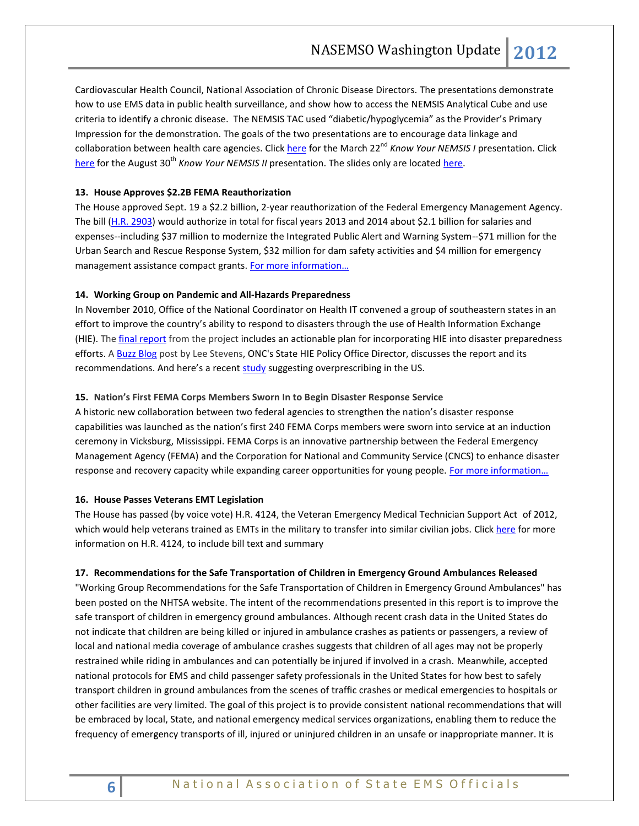Cardiovascular Health Council, National Association of Chronic Disease Directors. The presentations demonstrate how to use EMS data in public health surveillance, and show how to access the NEMSIS Analytical Cube and use criteria to identify a chronic disease. The NEMSIS TAC used "diabetic/hypoglycemia" as the Provider's Primary Impression for the demonstration. The goals of the two presentations are to encourage data linkage and collaboration between health care agencies. Click [here](http://breeze50992852.adobeconnect.com/p1tm7hejl4n/) for the March 22<sup>nd</sup> *Know Your NEMSIS I* presentation. Click [here](http://breeze50992852.adobeconnect.com/p17aaihg5oy/) for the August 30<sup>th</sup> *Know Your NEMSIS II* presentation. The slides only are located [here.](http://breeze50992852.adobeconnect.com/p3jne7ih6sg/)

#### <span id="page-5-1"></span><span id="page-5-0"></span>**13. House Approves \$2.2B FEMA Reauthorization**

The House approved Sept. 19 a \$2.2 billion, 2-year reauthorization of the Federal Emergency Management Agency. The bill [\(H.R. 2903\)](http://hdl.loc.gov/loc.uscongress/legislation.112hr2903) would authorize in total for fiscal years 2013 and 2014 about \$2.1 billion for salaries and expenses--including \$37 million to modernize the Integrated Public Alert and Warning System--\$71 million for the Urban Search and Rescue Response System, \$32 million for dam safety activities and \$4 million for emergency management assistance compact grants. For more information...

#### <span id="page-5-2"></span>**14. Working Group on Pandemic and All-Hazards Preparedness**

In November 2010, Office of the National Coordinator on Health IT convened a group of southeastern states in an effort to improve the country's ability to respond to disasters through the use of Health Information Exchange (HIE). The [final report](http://www.healthit.gov/sites/default/files/pdf/SERCH-White-Paper.pdf) from the project includes an actionable plan for incorporating HIE into disaster preparedness efforts. A [Buzz Blog](http://www.healthit.gov/buzz-blog/ehr-case-studies/disaster-preparedness-health-information-exchange/) post by Lee Stevens, ONC's State HIE Policy Office Director, discusses the report and its recommendations. And here's a recent [study](http://www.reuters.com/article/2012/09/24/us-variation-in-antibiotic-prescribing-h-idUSBRE88N0YA20120924) suggesting overprescribing in the US.

#### <span id="page-5-3"></span>**15. Nation's First FEMA Corps Members Sworn In to Begin Disaster Response Service**

A historic new collaboration between two federal agencies to strengthen the nation's disaster response capabilities was launched as the nation's first 240 FEMA Corps members were sworn into service at an induction ceremony in Vicksburg, Mississippi. FEMA Corps is an innovative partnership between the Federal Emergency Management Agency (FEMA) and the Corporation for National and Community Service (CNCS) to enhance disaster response and recovery capacity while expanding career opportunities for young people. For more information...

#### <span id="page-5-5"></span><span id="page-5-4"></span>**16. House Passes Veterans EMT Legislation**

The House has passed (by voice vote) H.R. 4124, the Veteran Emergency Medical Technician Support Act of 2012, which would help veterans trained as EMTs in the military to transfer into similar civilian jobs. Clic[k here](http://hdl.loc.gov/loc.uscongress/legislation.112hr4124) for more information on H.R. 4124, to include bill text and summary

## <span id="page-5-7"></span><span id="page-5-6"></span>**17. Recommendations for the Safe Transportation of Children in Emergency Ground Ambulances Released**

"Working Group Recommendations for the Safe Transportation of Children in Emergency Ground Ambulances" has been posted on the NHTSA website. The intent of the recommendations presented in this report is to improve the safe transport of children in emergency ground ambulances. Although recent crash data in the United States do not indicate that children are being killed or injured in ambulance crashes as patients or passengers, a review of local and national media coverage of ambulance crashes suggests that children of all ages may not be properly restrained while riding in ambulances and can potentially be injured if involved in a crash. Meanwhile, accepted national protocols for EMS and child passenger safety professionals in the United States for how best to safely transport children in ground ambulances from the scenes of traffic crashes or medical emergencies to hospitals or other facilities are very limited. The goal of this project is to provide consistent national recommendations that will be embraced by local, State, and national emergency medical services organizations, enabling them to reduce the frequency of emergency transports of ill, injured or uninjured children in an unsafe or inappropriate manner. It is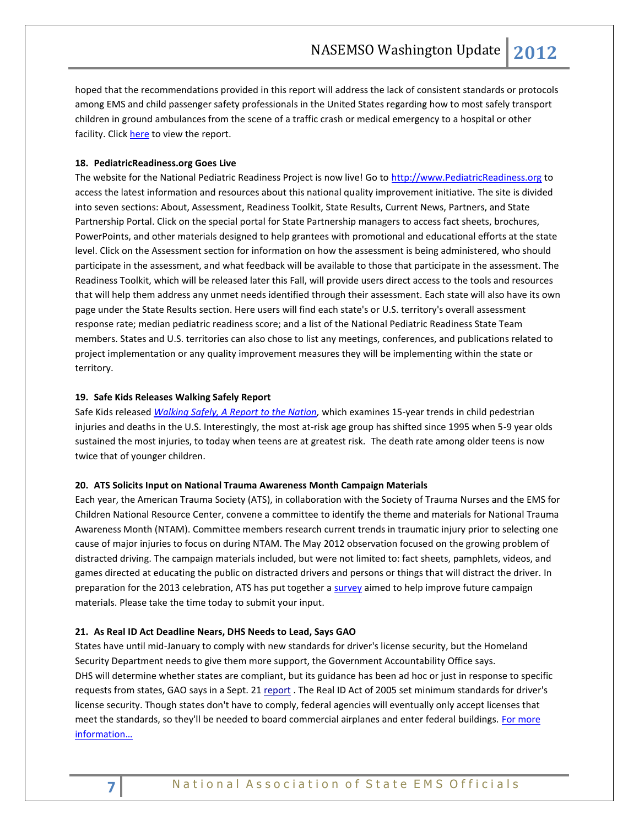hoped that the recommendations provided in this report will address the lack of consistent standards or protocols among EMS and child passenger safety professionals in the United States regarding how to most safely transport children in ground ambulances from the scene of a traffic crash or medical emergency to a hospital or other facility. Clic[k here](http://www.nhtsa.gov/staticfiles/nti/pdf/811677.pdf) to view the report.

#### <span id="page-6-0"></span>**18. PediatricReadiness.org Goes Live**

The website for the National Pediatric Readiness Project is now live! Go to [http://www.PediatricReadiness.org](http://www.pediatricreadiness.org/) to access the latest information and resources about this national quality improvement initiative. The site is divided into seven sections: About, Assessment, Readiness Toolkit, State Results, Current News, Partners, and State Partnership Portal. Click on the special portal for State Partnership managers to access fact sheets, brochures, PowerPoints, and other materials designed to help grantees with promotional and educational efforts at the state level. Click on the Assessment section for information on how the assessment is being administered, who should participate in the assessment, and what feedback will be available to those that participate in the assessment. The Readiness Toolkit, which will be released later this Fall, will provide users direct access to the tools and resources that will help them address any unmet needs identified through their assessment. Each state will also have its own page under the State Results section. Here users will find each state's or U.S. territory's overall assessment response rate; median pediatric readiness score; and a list of the National Pediatric Readiness State Team members. States and U.S. territories can also chose to list any meetings, conferences, and publications related to project implementation or any quality improvement measures they will be implementing within the state or territory.

#### <span id="page-6-1"></span>**19. Safe Kids Releases Walking Safely Report**

Safe Kids released *[Walking Safely, A Report to the Nation,](http://www.safekids.org/assets/docs/safety-basics/safety-tips-by-risk-area/Walking-Safely-Research-Report.pdf)* which examines 15-year trends in child pedestrian injuries and deaths in the U.S. Interestingly, the most at-risk age group has shifted since 1995 when 5-9 year olds sustained the most injuries, to today when teens are at greatest risk. The death rate among older teens is now twice that of younger children.

#### <span id="page-6-3"></span><span id="page-6-2"></span>**20. ATS Solicits Input on National Trauma Awareness Month Campaign Materials**

Each year, the American Trauma Society (ATS), in collaboration with the Society of Trauma Nurses and the EMS for Children National Resource Center, convene a committee to identify the theme and materials for National Trauma Awareness Month (NTAM). Committee members research current trends in traumatic injury prior to selecting one cause of major injuries to focus on during NTAM. The May 2012 observation focused on the growing problem of distracted driving. The campaign materials included, but were not limited to: fact sheets, pamphlets, videos, and games directed at educating the public on distracted drivers and persons or things that will distract the driver. In preparation for the 2013 celebration, ATS has put together a [survey](https://www.surveymonkey.com/s/ntam) aimed to help improve future campaign materials. Please take the time today to submit your input.

## <span id="page-6-5"></span><span id="page-6-4"></span>**21. As Real ID Act Deadline Nears, DHS Needs to Lead, Says GAO**

States have until mid-January to comply with new standards for driver's license security, but the Homeland Security Department needs to give them more support, the Government Accountability Office says. DHS will determine whether states are compliant, but its guidance has been ad hoc or just in response to specific requests from states, GAO says in a Sept. 21 [report](http://www.gao.gov/assets/650/648689.pdf) . The Real ID Act of 2005 set minimum standards for driver's license security. Though states don't have to comply, federal agencies will eventually only accept licenses that meet the standards, so they'll be needed to board commercial airplanes and enter federal buildings. For more [information…](http://www.fiercehomelandsecurity.com/story/real-id-act-deadline-nears-dhs-needs-lead-says-gao/2012-09-26?utm_medium=nl&utm_source=internal)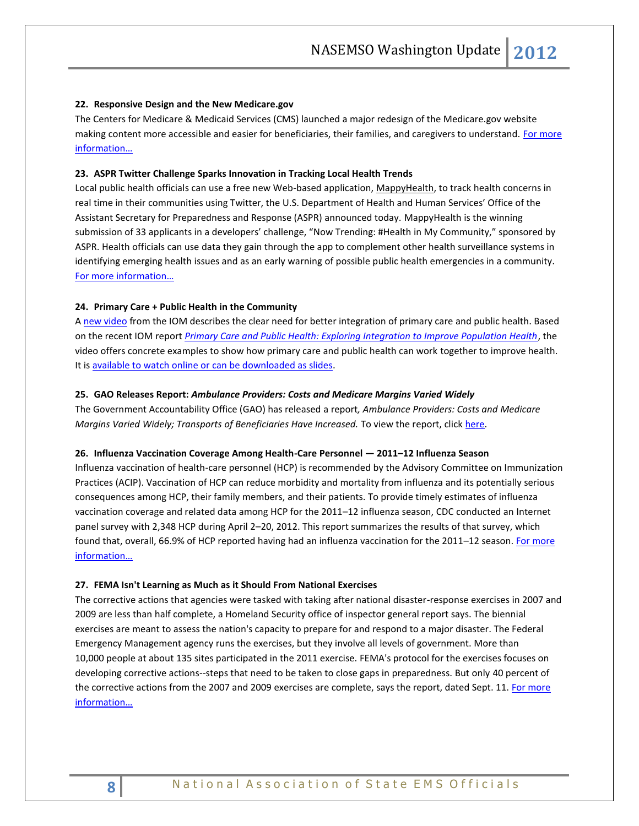#### <span id="page-7-2"></span><span id="page-7-0"></span>**22. Responsive Design and the New Medicare.gov**

The Centers for Medicare & Medicaid Services (CMS) launched a major redesign of the Medicare.gov website making content more accessible and easier for beneficiaries, their families, and caregivers to understand. For more [information…](http://www.hhs.gov/digitalstrategy/responsive-design-and-new-medicaregov.html)

#### <span id="page-7-1"></span>**23. ASPR Twitter Challenge Sparks Innovation in Tracking Local Health Trends**

Local public health officials can use a free new Web-based application, [MappyHealth,](http://www.mappyhealth.com/) to track health concerns in real time in their communities using Twitter, the U.S. Department of Health and Human Services' Office of the Assistant Secretary for Preparedness and Response (ASPR) announced today. MappyHealth is the winning submission of 33 applicants in a developers' challenge, "Now Trending: #Health in My Community," sponsored by ASPR. Health officials can use data they gain through the app to complement other health surveillance systems in identifying emerging health issues and as an early warning of possible public health emergencies in a community. [For more information…](http://www.hhs.gov/news/press/2012pres/09/20120913a.html)

#### <span id="page-7-3"></span>**24. Primary Care + Public Health in the Community**

A [new video](http://click.newsletters.nas.edu/?ju=fe1f157570620c7a741c77&ls=fdeb1c78716c017e7114747d&m=fefd1276756204&l=fe9a16717462057f7d&s=fe261c7974600474741273&jb=ffcf14&t=) from the IOM describes the clear need for better integration of primary care and public health. Based on the recent IOM report *[Primary Care and Public Health: Exploring Integration to Improve Population Health](http://click.newsletters.nas.edu/?ju=fe1e157570620c7a741c78&ls=fdeb1c78716c017e7114747d&m=fefd1276756204&l=fe9a16717462057f7d&s=fe261c7974600474741273&jb=ffcf14&t=)*, the video offers concrete examples to show how primary care and public health can work together to improve health. It i[s available to watch online or can be downloaded as slides.](http://click.newsletters.nas.edu/?ju=fe1d157570620c7a741c79&ls=fdeb1c78716c017e7114747d&m=fefd1276756204&l=fe9a16717462057f7d&s=fe261c7974600474741273&jb=ffcf14&t=)

#### <span id="page-7-4"></span>**25. GAO Releases Report:** *Ambulance Providers: Costs and Medicare Margins Varied Widely*

The Government Accountability Office (GAO) has released a report*, Ambulance Providers: Costs and Medicare Margins Varied Widely; Transports of Beneficiaries Have Increased.* To view the report, clic[k here.](http://www.gao.gov/products/GAO-13-6)

#### <span id="page-7-5"></span>**26. Influenza Vaccination Coverage Among Health-Care Personnel — 2011–12 Influenza Season**

Influenza vaccination of health-care personnel (HCP) is recommended by the Advisory Committee on Immunization Practices (ACIP). Vaccination of HCP can reduce morbidity and mortality from influenza and its potentially serious consequences among HCP, their family members, and their patients. To provide timely estimates of influenza vaccination coverage and related data among HCP for the 2011–12 influenza season, CDC conducted an Internet panel survey with 2,348 HCP during April 2–20, 2012. This report summarizes the results of that survey, which found that, overall, 66.9% of HCP reported having had an influenza vaccination for the 2011–12 season. For more [information…](http://www.cdc.gov/mmwr/preview/mmwrhtml/mm6138a1.htm)

#### <span id="page-7-6"></span>**27. FEMA Isn't Learning as Much as it Should From National Exercises**

The corrective actions that agencies were tasked with taking after national disaster-response exercises in 2007 and 2009 are less than half complete, a Homeland Security office of inspector general report says. The biennial exercises are meant to assess the nation's capacity to prepare for and respond to a major disaster. The Federal Emergency Management agency runs the exercises, but they involve all levels of government. More than 10,000 people at about 135 sites participated in the 2011 exercise. FEMA's protocol for the exercises focuses on developing corrective actions--steps that need to be taken to close gaps in preparedness. But only 40 percent of the corrective actions from the 2007 and 2009 exercises are complete, says the report, dated Sept. 11. For more [information…](http://www.fiercehomelandsecurity.com/story/oig-fema-isnt-learning-much-it-should-national-exercises/2012-09-26)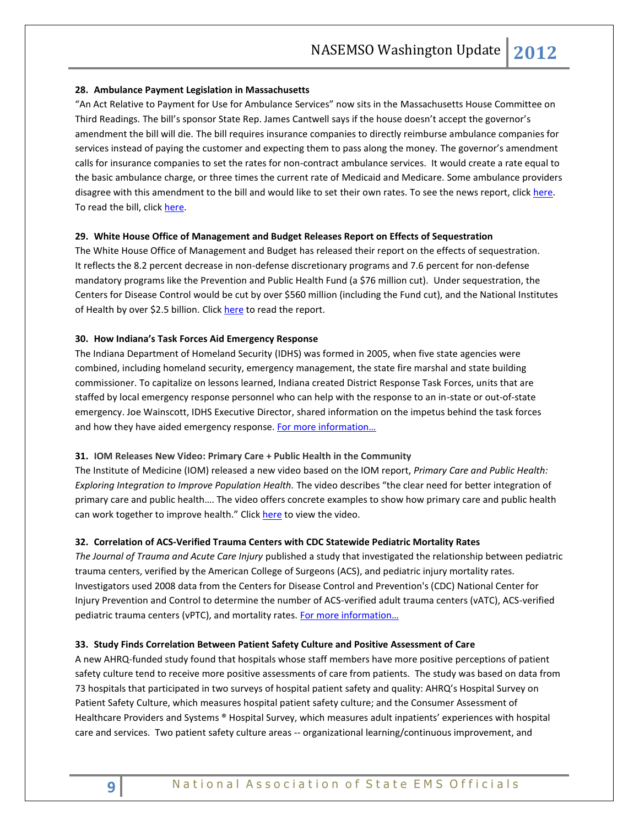#### <span id="page-8-0"></span>**28. Ambulance Payment Legislation in Massachusetts**

"An Act Relative to Payment for Use for Ambulance Services" now sits in the Massachusetts House Committee on Third Readings. The bill's sponsor State Rep. James Cantwell says if the house doesn't accept the governor's amendment the bill will die. The bill requires insurance companies to directly reimburse ambulance companies for services instead of paying the customer and expecting them to pass along the money. The governor's amendment calls for insurance companies to set the rates for non-contract ambulance services. It would create a rate equal to the basic ambulance charge, or three times the current rate of Medicaid and Medicare. Some ambulance providers disagree with this amendment to the bill and would like to set their own rates. To see the news report, click [here.](http://www.wggb.com/2012/08/14/ambulance-payment-legislation/) To read the bill, click here.

#### <span id="page-8-1"></span>**29. White House Office of Management and Budget Releases Report on Effects of Sequestration**

The White House Office of Management and Budget has released their report on the effects of sequestration. It reflects the 8.2 percent decrease in non-defense discretionary programs and 7.6 percent for non-defense mandatory programs like the Prevention and Public Health Fund (a \$76 million cut). Under sequestration, the Centers for Disease Control would be cut by over \$560 million (including the Fund cut), and the National Institutes of Health by over \$2.5 billion. Click [here](http://www.kaiserhealthnews.org/~/media/Files/2012/105934922OmbSequestrationReport.pdf) to read the report.

#### <span id="page-8-2"></span>**30. How Indiana's Task Forces Aid Emergency Response**

The Indiana Department of Homeland Security (IDHS) was formed in 2005, when five state agencies were combined, including homeland security, emergency management, the state fire marshal and state building commissioner. To capitalize on lessons learned, Indiana created District Response Task Forces, units that are staffed by local emergency response personnel who can help with the response to an in-state or out-of-state emergency. Joe Wainscott, IDHS Executive Director, shared information on the impetus behind the task forces and how they have aided emergency response. For more information...

#### <span id="page-8-3"></span>**31. IOM Releases New Video: Primary Care + Public Health in the Community**

The Institute of Medicine (IOM) released a new video based on the IOM report, *[Primary Care and Public Health:](http://click.newsletters.nas.edu/?ju=fe3015757167077f711677&ls=fdf01c78716c017e71147674&m=fefd1276756204&l=fe8c16737c650c7872&s=fe261c7974600474741273&jb=ffcf14&t=)  [Exploring Integration to Improve Population Health.](http://click.newsletters.nas.edu/?ju=fe3015757167077f711677&ls=fdf01c78716c017e71147674&m=fefd1276756204&l=fe8c16737c650c7872&s=fe261c7974600474741273&jb=ffcf14&t=)* The video describes "the clear need for better integration of primary care and public health…. The video offers concrete examples to show how primary care and public health can work together to improve health." Clic[k here](http://www.iom.edu/Reports/2012/Primary-Care-and-Public-Health/Video.aspx) to view the video.

#### <span id="page-8-5"></span><span id="page-8-4"></span>**32. Correlation of ACS-Verified Trauma Centers with CDC Statewide Pediatric Mortality Rates**

*The Journal of Trauma and Acute Care Injury* published a study that investigated the relationship between pediatric trauma centers, verified by the American College of Surgeons (ACS), and pediatric injury mortality rates. Investigators used 2008 data from the Centers for Disease Control and Prevention's (CDC) National Center for Injury Prevention and Control to determine the number of ACS-verified adult trauma centers (vATC), ACS-verified pediatric trauma centers (vPTC), and mortality rates. For more information...

#### <span id="page-8-6"></span>**33. Study Finds Correlation Between Patient Safety Culture and Positive Assessment of Care**

A new AHRQ-funded study found that hospitals whose staff members have more positive perceptions of patient safety culture tend to receive more positive assessments of care from patients. The study was based on data from 73 hospitals that participated in two surveys of hospital patient safety and quality: AHRQ's Hospital Survey on Patient Safety Culture, which measures hospital patient safety culture; and the Consumer Assessment of Healthcare Providers and Systems ® Hospital Survey, which measures adult inpatients' experiences with hospital care and services. Two patient safety culture areas -- organizational learning/continuous improvement, and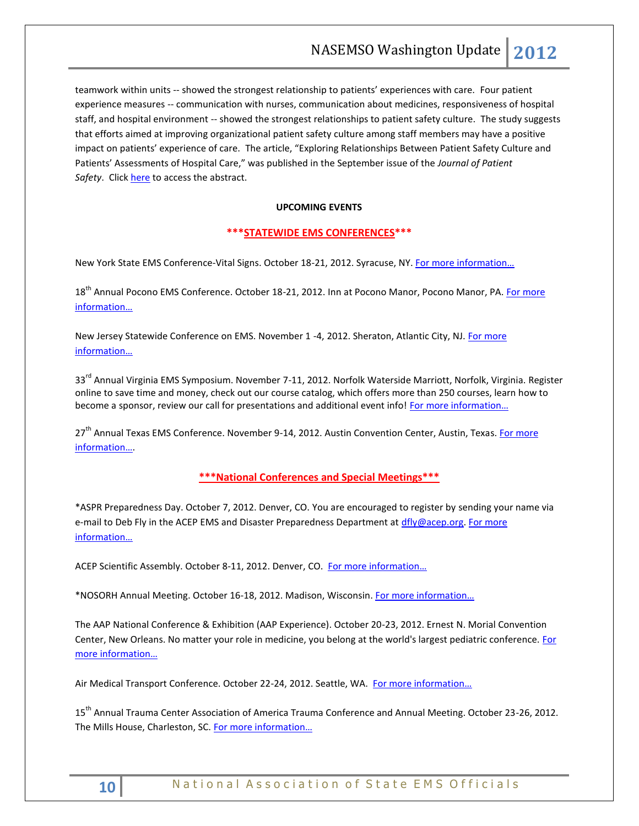teamwork within units -- showed the strongest relationship to patients' experiences with care. Four patient experience measures -- communication with nurses, communication about medicines, responsiveness of hospital staff, and hospital environment -- showed the strongest relationships to patient safety culture. The study suggests that efforts aimed at improving organizational patient safety culture among staff members may have a positive impact on patients' experience of care. The article, "Exploring Relationships Between Patient Safety Culture and Patients' Assessments of Hospital Care," was published in the September issue of the *Journal of Patient*  Safety. Clic[k here](http://www.ncbi.nlm.nih.gov/pubmed/22785344) to access the abstract.

#### **UPCOMING EVENTS**

## <span id="page-9-0"></span>**\*\*\*STATEWIDE EMS CONFERENCES\*\*\***

New York State EMS Conference-Vital Signs. October 18-21, 2012. Syracuse, NY. For more information...

18<sup>th</sup> Annual Pocono EMS Conference. October 18-21, 2012. Inn at Pocono Manor, Pocono Manor, PA. For more [information…](http://www.poconoemsconference.com/)

New Jersey Statewide Conference on EMS. November 1 -4, 2012. Sheraton, Atlantic City, NJ[. For more](http://www.njemsconference.com/)  [information…](http://www.njemsconference.com/)

33<sup>rd</sup> Annual Virginia EMS Symposium. November 7-11, 2012. Norfolk Waterside Marriott, Norfolk, Virginia. Register online to save time and money, check out our course catalog, which offers more than 250 courses, learn how to become a sponsor, review our call for presentations and additional event info! For more information...

27<sup>th</sup> Annual Texas EMS Conference. November 9-14, 2012. Austin Convention Center, Austin, Texas. For more [information…](http://www.texasemsconference.com/).

## **\*\*\*National Conferences and Special Meetings\*\*\***

<span id="page-9-1"></span>\*ASPR Preparedness Day. October 7, 2012. Denver, CO. You are encouraged to register by sending your name via e-mail to Deb Fly in the ACEP EMS and Disaster Preparedness Department at [dfly@acep.org.](mailto:dfly@acep.org) For more [information…](http://www.nasemso.org/Resources/Calendar/documents/ASPRPreparednessDayAgenda.pdf)

ACEP Scientific Assembly. October 8-11, 2012. Denver, CO. For more information...

\*NOSORH Annual Meeting. October 16-18, 2012. Madison, Wisconsin. [For more information…](http://www.nosorh.org/news/events.php)

The AAP National Conference & Exhibition (AAP Experience). October 20-23, 2012. Ernest N. Morial Convention Center, New Orleans. No matter your role in medicine, you belong at the world's largest pediatric conference. For [more information…](http://www.aapexperience.org/)

Air Medical Transport Conference. October 22-24, 2012. Seattle, WA. For more information...

15th Annual Trauma Center Association of America Trauma Conference and Annual Meeting. October 23-26, 2012. The Mills House, Charleston, SC. [For more information…](http://www.traumafoundation.org/education.htm)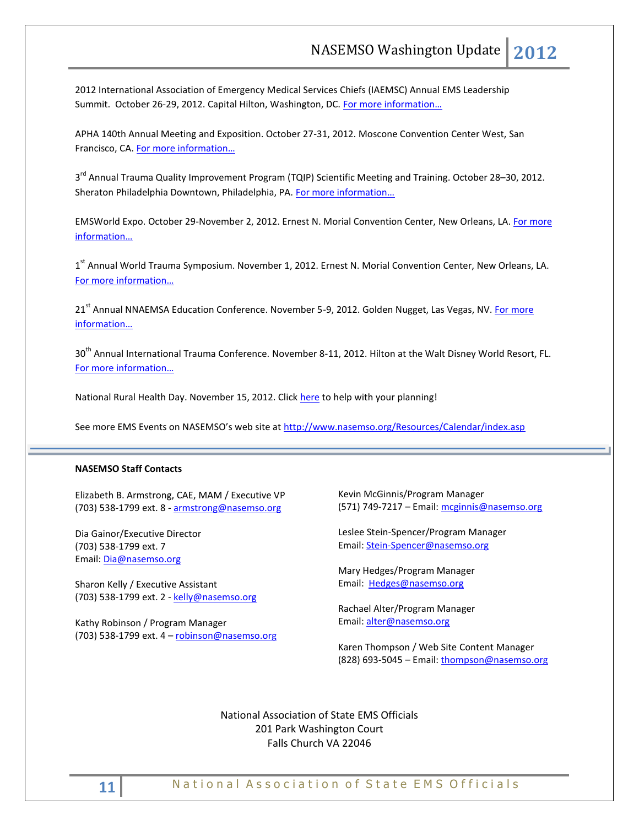2012 International Association of Emergency Medical Services Chiefs (IAEMSC) Annual EMS Leadership Summit. October 26-29, 2012. Capital Hilton, Washington, DC. [For more information…](http://www.iaemsc.org/conference.html)

APHA 140th Annual Meeting and Exposition. October 27-31, 2012. Moscone Convention Center West, San Francisco, CA. [For more information…](http://www.apha.org/meetings/AnnualMeeting/)

3<sup>rd</sup> Annual Trauma Quality Improvement Program (TQIP) Scientific Meeting and Training. October 28–30, 2012. Sheraton Philadelphia Downtown, Philadelphia, PA. [For more information…](http://www.facs.org/trauma/ntdb/tqip-meeting.html)

EMSWorld Expo. October 29-November 2, 2012. Ernest N. Morial Convention Center, New Orleans, LA. For more [information…](http://emsworldexpo.com/)

1<sup>st</sup> Annual World Trauma Symposium. November 1, 2012. Ernest N. Morial Convention Center, New Orleans, LA. For more [information…](http://www.worldtraumasymposium.com/)

21<sup>st</sup> Annual NNAEMSA Education Conference. November 5-9, 2012. Golden Nugget, Las Vegas, NV. For more [information…](http://www.nnaemsa.org/)

30<sup>th</sup> Annual International Trauma Conference. November 8-11, 2012. Hilton at the Walt Disney World Resort, FL. [For more information…](http://www.itrauma.org/conference/)

National Rural Health Day. November 15, 2012. Click [here](http://celebratepowerofrural.org/) to help with your planning!

See more EMS Events on NASEMSO's web site at <http://www.nasemso.org/Resources/Calendar/index.asp>

#### **NASEMSO Staff Contacts**

Elizabeth B. Armstrong, CAE, MAM / Executive VP (703) 538-1799 ext. 8 - [armstrong@nasemso.org](mailto:armstrong@nasemso.org)

Dia Gainor/Executive Director (703) 538-1799 ext. 7 Email: [Dia@nasemso.org](mailto:Dia@nasemso.org)

Sharon Kelly / Executive Assistant (703) 538-1799 ext. 2 - [kelly@nasemso.org](mailto:kelly@nasemso.org)

Kathy Robinson / Program Manager (703) 538-1799 ext. 4 – [robinson@nasemso.org](mailto:robinson@nasemso.org) Kevin McGinnis/Program Manager (571) 749-7217 – Email: [mcginnis@nasemso.org](mailto:mcginnis@nasemso.org)

Leslee Stein-Spencer/Program Manager Email: [Stein-Spencer@nasemso.org](mailto:Stein-Spencer@nasemso.org)

Mary Hedges/Program Manager Email: [Hedges@nasemso.org](mailto:Hedges@nasemso.org)

Rachael Alter/Program Manager Email: [alter@nasemso.org](mailto:alter@nasemso.org)

Karen Thompson / Web Site Content Manager (828) 693-5045 - Email: [thompson@nasemso.org](mailto:thompson@nasemso.org)

National Association of State EMS Officials 201 Park Washington Court Falls Church VA 22046